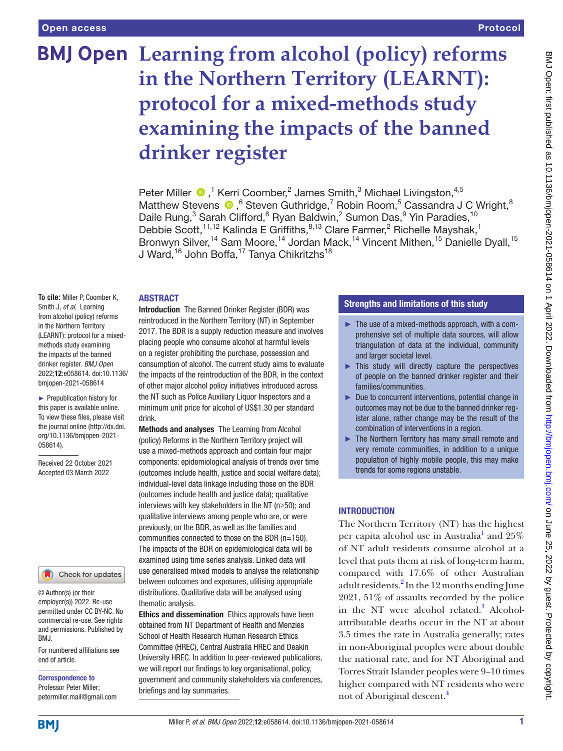# **BMJ Open** Learning from alcohol (policy) reforms **in the Northern Territory (LEARNT): protocol for a mixed-methods study examining the impacts of the banned drinker register**

Peter Miller  $\bigcirc$ ,<sup>1</sup> Kerri Coomber,<sup>2</sup> James Smith,<sup>3</sup> Michael Livingston,<sup>4,5</sup> MatthewStevens  $\bullet$ , <sup>6</sup> Steven Guthridge, <sup>7</sup> Robin Room, <sup>5</sup> Cassandra J C Wright, <sup>8</sup> Daile Rung,<sup>3</sup> Sarah Clifford,<sup>8</sup> Ryan Baldwin,<sup>2</sup> Sumon Das,<sup>9</sup> Yin Paradies,<sup>10</sup> Debbie Scott,<sup>11,12</sup> Kalinda E Griffiths,<sup>8,13</sup> Clare Farmer,<sup>2</sup> Richelle Mayshak,<sup>1</sup> Bronwyn Silver,<sup>14</sup> Sam Moore,<sup>14</sup> Jordan Mack,<sup>14</sup> Vincent Mithen,<sup>15</sup> Danielle Dyall,<sup>15</sup> J Ward,<sup>16</sup> John Boffa,<sup>17</sup> Tanya Chikritzhs<sup>18</sup>

#### **ABSTRACT**

**To cite:** Miller P, Coomber K, Smith J, *et al*. Learning from alcohol (policy) reforms in the Northern Territory (LEARNT): protocol for a mixedmethods study examining the impacts of the banned drinker register. *BMJ Open* 2022;12:e058614. doi:10.1136/ bmjopen-2021-058614

► Prepublication history for this paper is available online. To view these files, please visit the journal online [\(http://dx.doi.](http://dx.doi.org/10.1136/bmjopen-2021-058614) [org/10.1136/bmjopen-2021-](http://dx.doi.org/10.1136/bmjopen-2021-058614) [058614\)](http://dx.doi.org/10.1136/bmjopen-2021-058614).

Received 22 October 2021 Accepted 03 March 2022



© Author(s) (or their employer(s)) 2022. Re-use permitted under CC BY-NC. No commercial re-use. See rights and permissions. Published by BMJ.

For numbered affiliations see end of article.

Correspondence to Professor Peter Miller; petermiller.mail@gmail.com Introduction The Banned Drinker Register (BDR) was reintroduced in the Northern Territory (NT) in September 2017. The BDR is a supply reduction measure and involves placing people who consume alcohol at harmful levels on a register prohibiting the purchase, possession and consumption of alcohol. The current study aims to evaluate the impacts of the reintroduction of the BDR, in the context of other major alcohol policy initiatives introduced across the NT such as Police Auxiliary Liquor Inspectors and a minimum unit price for alcohol of US\$1.30 per standard drink.

Methods and analyses The Learning from Alcohol (policy) Reforms in the Northern Territory project will use a mixed-methods approach and contain four major components: epidemiological analysis of trends over time (outcomes include health, justice and social welfare data); individual-level data linkage including those on the BDR (outcomes include health and justice data); qualitative interviews with key stakeholders in the NT (n≥50); and qualitative interviews among people who are, or were previously, on the BDR, as well as the families and communities connected to those on the BDR (n=150). The impacts of the BDR on epidemiological data will be examined using time series analysis. Linked data will use generalised mixed models to analyse the relationship between outcomes and exposures, utilising appropriate distributions. Qualitative data will be analysed using thematic analysis.

Ethics and dissemination Ethics approvals have been obtained from NT Department of Health and Menzies School of Health Research Human Research Ethics Committee (HREC), Central Australia HREC and Deakin University HREC. In addition to peer-reviewed publications, we will report our findings to key organisational, policy, government and community stakeholders via conferences, briefings and lay summaries.

## Strengths and limitations of this study

- ► The use of a mixed-methods approach, with a comprehensive set of multiple data sources, will allow triangulation of data at the individual, community and larger societal level.
- ► This study will directly capture the perspectives of people on the banned drinker register and their families/communities.
- ► Due to concurrent interventions, potential change in outcomes may not be due to the banned drinker register alone, rather change may be the result of the combination of interventions in a region.
- ► The Northern Territory has many small remote and very remote communities, in addition to a unique population of highly mobile people, this may make trends for some regions unstable.

# **INTRODUCTION**

The Northern Territory (NT) has the highest per capita alcohol use in Australia<sup>[1](#page-8-0)</sup> and 25% of NT adult residents consume alcohol at a level that puts them at risk of long-term harm, compared with 17.6% of other Australian adult residents.<sup>[2](#page-8-1)</sup> In the 12 months ending June 2021, 51% of assaults recorded by the police in the NT were alcohol related.<sup>3</sup> Alcoholattributable deaths occur in the NT at about 3.5 times the rate in Australia generally; rates in non-Aboriginal peoples were about double the national rate, and for NT Aboriginal and Torres Strait Islander peoples were 9–10 times higher compared with NT residents who were not of Aboriginal descent.[4](#page-8-3)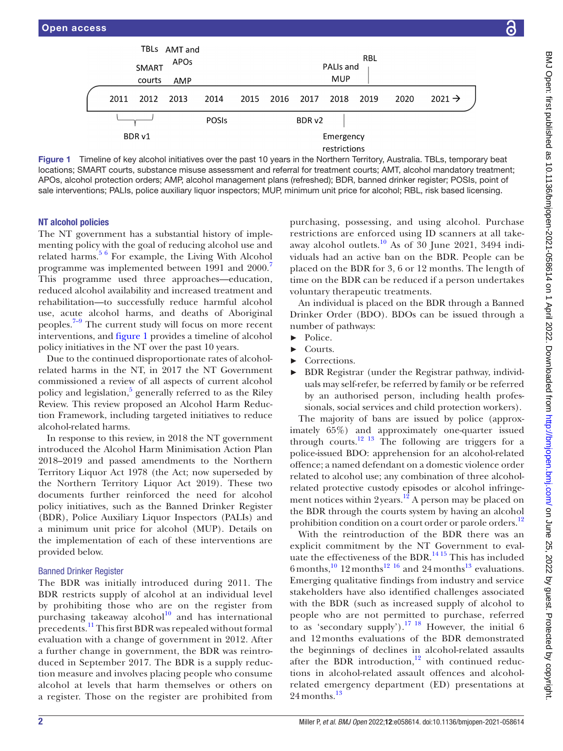

menting policy with the goal of reducing alcohol use and related harms.<sup>[5 6](#page-8-4)</sup> For example, the Living With Alcohol programme was implemented between 1991 and 2000.<sup>[7](#page-8-5)</sup> This programme used three approaches—education, reduced alcohol availability and increased treatment and rehabilitation—to successfully reduce harmful alcohol use, acute alcohol harms, and deaths of Aboriginal peoples. $7-9$  The current study will focus on more recent interventions, and [figure](#page-1-0) 1 provides a timeline of alcohol policy initiatives in the NT over the past 10 years.

TBLs AMT and

<span id="page-1-0"></span>**APOs** 

Due to the continued disproportionate rates of alcoholrelated harms in the NT, in 2017 the NT Government commissioned a review of all aspects of current alcohol policy and legislation,<sup>[5](#page-8-4)</sup> generally referred to as the Riley Review. This review proposed an Alcohol Harm Reduction Framework, including targeted initiatives to reduce alcohol-related harms.

In response to this review, in 2018 the NT government introduced the Alcohol Harm Minimisation Action Plan 2018–2019 and passed amendments to the Northern Territory Liquor Act 1978 (the Act; now superseded by the Northern Territory Liquor Act 2019). These two documents further reinforced the need for alcohol policy initiatives, such as the Banned Drinker Register (BDR), Police Auxiliary Liquor Inspectors (PALIs) and a minimum unit price for alcohol (MUP). Details on the implementation of each of these interventions are provided below.

## Banned Drinker Register

The BDR was initially introduced during 2011. The BDR restricts supply of alcohol at an individual level by prohibiting those who are on the register from purchasing takeaway alcohol $10$  and has international precedents.[11](#page-8-7) This first BDR was repealed without formal evaluation with a change of government in 2012. After a further change in government, the BDR was reintroduced in September 2017. The BDR is a supply reduction measure and involves placing people who consume alcohol at levels that harm themselves or others on a register. Those on the register are prohibited from

purchasing, possessing, and using alcohol. Purchase restrictions are enforced using ID scanners at all take-away alcohol outlets.<sup>[10](#page-8-6)</sup> As of  $30$  June 2021, 3494 individuals had an active ban on the BDR. People can be placed on the BDR for 3, 6 or 12 months. The length of time on the BDR can be reduced if a person undertakes voluntary therapeutic treatments.

 $2021 \rightarrow$ 

**RBL** 

PALIs and

An individual is placed on the BDR through a Banned Drinker Order (BDO). BDOs can be issued through a number of pathways:

- ► Police.
- ► Courts.
- Corrections.
- BDR Registrar (under the Registrar pathway, individuals may self-refer, be referred by family or be referred by an authorised person, including health professionals, social services and child protection workers).

The majority of bans are issued by police (approximately 65%) and approximately one-quarter issued through courts.<sup>12 13</sup> The following are triggers for a police-issued BDO: apprehension for an alcohol-related offence; a named defendant on a domestic violence order related to alcohol use; any combination of three alcoholrelated protective custody episodes or alcohol infringement notices within  $2$  years.<sup>[12](#page-8-8)</sup> A person may be placed on the BDR through the courts system by having an alcohol prohibition condition on a court order or parole orders.<sup>[12](#page-8-8)</sup>

With the reintroduction of the BDR there was an explicit commitment by the NT Government to evaluate the effectiveness of the BDR. $^{14}$ <sup>15</sup> This has included 6 months,  $^{10}$  [12](#page-8-8) months<sup>12 [16](#page-8-10)</sup> and 24 months<sup>[13](#page-8-11)</sup> evaluations. Emerging qualitative findings from industry and service stakeholders have also identified challenges associated with the BDR (such as increased supply of alcohol to people who are not permitted to purchase, referred to as 'secondary supply').<sup>17 18</sup> However, the initial  $6$ and 12 months evaluations of the BDR demonstrated the beginnings of declines in alcohol-related assaults after the BDR introduction, $12$  with continued reductions in alcohol-related assault offences and alcoholrelated emergency department (ED) presentations at  $24$  months.<sup>[13](#page-8-11)</sup>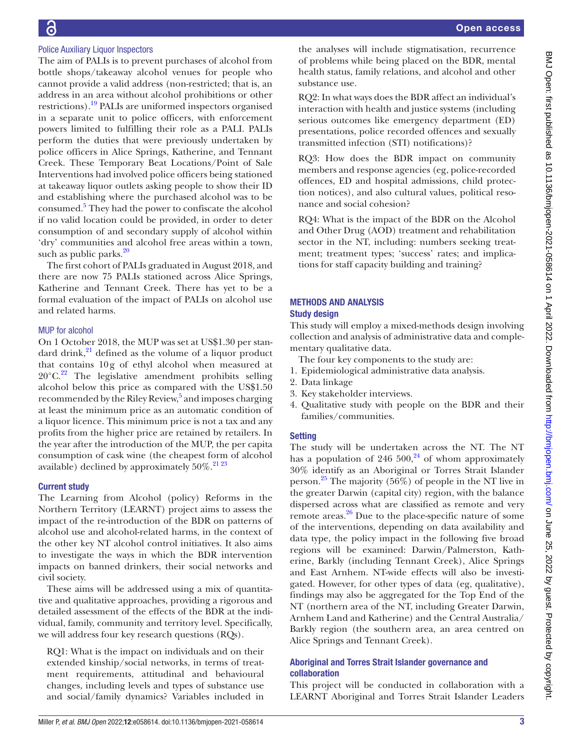# Police Auxiliary Liquor Inspectors

G

The aim of PALIs is to prevent purchases of alcohol from bottle shops/takeaway alcohol venues for people who cannot provide a valid address (non-restricted; that is, an address in an area without alcohol prohibitions or other restrictions).[19](#page-8-13) PALIs are uniformed inspectors organised in a separate unit to police officers, with enforcement powers limited to fulfilling their role as a PALI. PALIs perform the duties that were previously undertaken by police officers in Alice Springs, Katherine, and Tennant Creek. These Temporary Beat Locations/Point of Sale Interventions had involved police officers being stationed at takeaway liquor outlets asking people to show their ID and establishing where the purchased alcohol was to be consumed.<sup>5</sup> They had the power to confiscate the alcohol if no valid location could be provided, in order to deter consumption of and secondary supply of alcohol within 'dry' communities and alcohol free areas within a town, such as public parks. $20$ 

The first cohort of PALIs graduated in August 2018, and there are now 75 PALIs stationed across Alice Springs, Katherine and Tennant Creek. There has yet to be a formal evaluation of the impact of PALIs on alcohol use and related harms.

#### MUP for alcohol

On 1 October 2018, the MUP was set at US\$1.30 per standard drink, $^{21}$  defined as the volume of a liquor product that contains 10g of ethyl alcohol when measured at  $20^{\circ}$ C.<sup>[22](#page-9-0)</sup> The legislative amendment prohibits selling alcohol below this price as compared with the US\$1.50 recommended by the Riley Review,<sup>5</sup> and imposes charging at least the minimum price as an automatic condition of a liquor licence. This minimum price is not a tax and any profits from the higher price are retained by retailers. In the year after the introduction of the MUP, the per capita consumption of cask wine (the cheapest form of alcohol available) declined by approximately  $50\%$ .<sup>[21 23](#page-8-15)</sup>

#### Current study

The Learning from Alcohol (policy) Reforms in the Northern Territory (LEARNT) project aims to assess the impact of the re-introduction of the BDR on patterns of alcohol use and alcohol-related harms, in the context of the other key NT alcohol control initiatives. It also aims to investigate the ways in which the BDR intervention impacts on banned drinkers, their social networks and civil society.

These aims will be addressed using a mix of quantitative and qualitative approaches, providing a rigorous and detailed assessment of the effects of the BDR at the individual, family, community and territory level. Specifically, we will address four key research questions (RQs).

RQ1: What is the impact on individuals and on their extended kinship/social networks, in terms of treatment requirements, attitudinal and behavioural changes, including levels and types of substance use and social/family dynamics? Variables included in

the analyses will include stigmatisation, recurrence of problems while being placed on the BDR, mental health status, family relations, and alcohol and other substance use.

RQ2: In what ways does the BDR affect an individual's interaction with health and justice systems (including serious outcomes like emergency department (ED) presentations, police recorded offences and sexually transmitted infection (STI) notifications)?

RQ3: How does the BDR impact on community members and response agencies (eg, police-recorded offences, ED and hospital admissions, child protection notices), and also cultural values, political resonance and social cohesion?

RQ4: What is the impact of the BDR on the Alcohol and Other Drug (AOD) treatment and rehabilitation sector in the NT, including: numbers seeking treatment; treatment types; 'success' rates; and implications for staff capacity building and training?

## METHODS AND ANALYSIS Study design

This study will employ a mixed-methods design involving collection and analysis of administrative data and complementary qualitative data.

- The four key components to the study are:
- 1. Epidemiological administrative data analysis.
- 2. Data linkage
- 3. Key stakeholder interviews.
- 4. Qualitative study with people on the BDR and their families/communities.

## **Setting**

The study will be undertaken across the NT. The NT has a population of [24](#page-9-1)6 500,<sup>24</sup> of whom approximately 30% identify as an Aboriginal or Torres Strait Islander person.<sup>[25](#page-9-2)</sup> The majority (56%) of people in the NT live in the greater Darwin (capital city) region, with the balance dispersed across what are classified as remote and very remote areas. $^{26}$  Due to the place-specific nature of some of the interventions, depending on data availability and data type, the policy impact in the following five broad regions will be examined: Darwin/Palmerston, Katherine, Barkly (including Tennant Creek), Alice Springs and East Arnhem. NT-wide effects will also be investigated. However, for other types of data (eg, qualitative), findings may also be aggregated for the Top End of the NT (northern area of the NT, including Greater Darwin, Arnhem Land and Katherine) and the Central Australia/ Barkly region (the southern area, an area centred on Alice Springs and Tennant Creek).

## Aboriginal and Torres Strait Islander governance and collaboration

This project will be conducted in collaboration with a LEARNT Aboriginal and Torres Strait Islander Leaders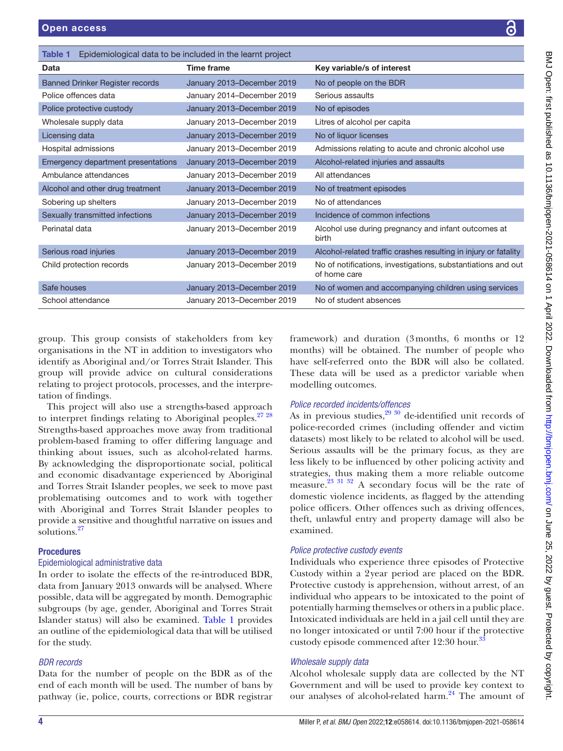| Data                                   | <b>Time frame</b>          | Key variable/s of interest                                                   |
|----------------------------------------|----------------------------|------------------------------------------------------------------------------|
| <b>Banned Drinker Register records</b> | January 2013-December 2019 | No of people on the BDR                                                      |
| Police offences data                   | January 2014-December 2019 | Serious assaults                                                             |
| Police protective custody              | January 2013-December 2019 | No of episodes                                                               |
| Wholesale supply data                  | January 2013-December 2019 | Litres of alcohol per capita                                                 |
| Licensing data                         | January 2013-December 2019 | No of liquor licenses                                                        |
| Hospital admissions                    | January 2013–December 2019 | Admissions relating to acute and chronic alcohol use                         |
| Emergency department presentations     | January 2013-December 2019 | Alcohol-related injuries and assaults                                        |
| Ambulance attendances                  | January 2013-December 2019 | All attendances                                                              |
| Alcohol and other drug treatment       | January 2013-December 2019 | No of treatment episodes                                                     |
| Sobering up shelters                   | January 2013-December 2019 | No of attendances                                                            |
| Sexually transmitted infections        | January 2013-December 2019 | Incidence of common infections                                               |
| Perinatal data                         | January 2013-December 2019 | Alcohol use during pregnancy and infant outcomes at<br>birth                 |
| Serious road injuries                  | January 2013-December 2019 | Alcohol-related traffic crashes resulting in injury or fatality              |
| Child protection records               | January 2013-December 2019 | No of notifications, investigations, substantiations and out<br>of home care |
| Safe houses                            | January 2013-December 2019 | No of women and accompanying children using services                         |
| School attendance                      | January 2013-December 2019 | No of student absences                                                       |
|                                        |                            |                                                                              |

group. This group consists of stakeholders from key organisations in the NT in addition to investigators who identify as Aboriginal and/or Torres Strait Islander. This group will provide advice on cultural considerations relating to project protocols, processes, and the interpretation of findings.

<span id="page-3-0"></span>Table 1 Epidemiological data to be included in the learnt project

This project will also use a strengths-based approach to interpret findings relating to Aboriginal peoples. $27\frac{28}{10}$ Strengths-based approaches move away from traditional problem-based framing to offer differing language and thinking about issues, such as alcohol-related harms. By acknowledging the disproportionate social, political and economic disadvantage experienced by Aboriginal and Torres Strait Islander peoples, we seek to move past problematising outcomes and to work with together with Aboriginal and Torres Strait Islander peoples to provide a sensitive and thoughtful narrative on issues and solutions.<sup>[27](#page-9-4)</sup>

# **Procedures**

## Epidemiological administrative data

In order to isolate the effects of the re-introduced BDR, data from January 2013 onwards will be analysed. Where possible, data will be aggregated by month. Demographic subgroups (by age, gender, Aboriginal and Torres Strait Islander status) will also be examined. [Table](#page-3-0) 1 provides an outline of the epidemiological data that will be utilised for the study.

# *BDR records*

Data for the number of people on the BDR as of the end of each month will be used. The number of bans by pathway (ie, police, courts, corrections or BDR registrar

framework) and duration (3months, 6 months or 12 months) will be obtained. The number of people who have self-referred onto the BDR will also be collated. These data will be used as a predictor variable when modelling outcomes.

# *Police recorded incidents/offences*

As in previous studies,  $29^{30}$  de-identified unit records of police-recorded crimes (including offender and victim datasets) most likely to be related to alcohol will be used. Serious assaults will be the primary focus, as they are less likely to be influenced by other policing activity and strategies, thus making them a more reliable outcome measure[.23 31 32](#page-9-6) A secondary focus will be the rate of domestic violence incidents, as flagged by the attending police officers. Other offences such as driving offences, theft, unlawful entry and property damage will also be examined.

# *Police protective custody events*

Individuals who experience three episodes of Protective Custody within a 2year period are placed on the BDR. Protective custody is apprehension, without arrest, of an individual who appears to be intoxicated to the point of potentially harming themselves or others in a public place. Intoxicated individuals are held in a jail cell until they are no longer intoxicated or until 7:00 hour if the protective custody episode commenced after 12:30 hour.<sup>[33](#page-9-7)</sup>

# *Wholesale supply data*

Alcohol wholesale supply data are collected by the NT Government and will be used to provide key context to our analyses of alcohol-related harm.<sup>24</sup> The amount of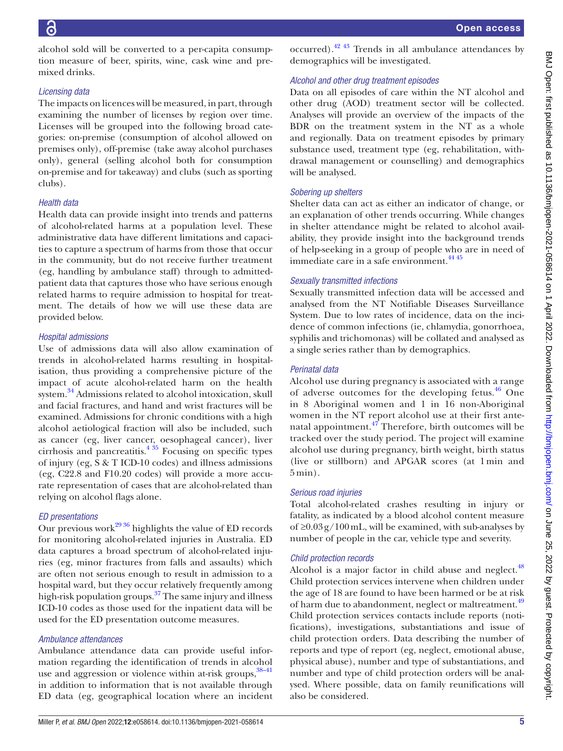alcohol sold will be converted to a per-capita consumption measure of beer, spirits, wine, cask wine and premixed drinks.

## *Licensing data*

The impacts on licences will be measured, in part, through examining the number of licenses by region over time. Licenses will be grouped into the following broad categories: on-premise (consumption of alcohol allowed on premises only), off-premise (take away alcohol purchases only), general (selling alcohol both for consumption on-premise and for takeaway) and clubs (such as sporting clubs).

## *Health data*

Health data can provide insight into trends and patterns of alcohol-related harms at a population level. These administrative data have different limitations and capacities to capture a spectrum of harms from those that occur in the community, but do not receive further treatment (eg, handling by ambulance staff) through to admittedpatient data that captures those who have serious enough related harms to require admission to hospital for treatment. The details of how we will use these data are provided below.

## *Hospital admissions*

Use of admissions data will also allow examination of trends in alcohol-related harms resulting in hospitalisation, thus providing a comprehensive picture of the impact of acute alcohol-related harm on the health system[.34](#page-9-8) Admissions related to alcohol intoxication, skull and facial fractures, and hand and wrist fractures will be examined. Admissions for chronic conditions with a high alcohol aetiological fraction will also be included, such as cancer (eg, liver cancer, oesophageal cancer), liver cirrhosis and pancreatitis. $4 \frac{35}{2}$  Focusing on specific types of injury (eg, S & T ICD-10 codes) and illness admissions (eg, C22.8 and F10.20 codes) will provide a more accurate representation of cases that are alcohol-related than relying on alcohol flags alone.

## *ED presentations*

Our previous work $^{29\,36}$  highlights the value of ED records for monitoring alcohol-related injuries in Australia. ED data captures a broad spectrum of alcohol-related injuries (eg, minor fractures from falls and assaults) which are often not serious enough to result in admission to a hospital ward, but they occur relatively frequently among high-risk population groups.<sup>[37](#page-9-9)</sup> The same injury and illness ICD-10 codes as those used for the inpatient data will be used for the ED presentation outcome measures.

## *Ambulance attendances*

Ambulance attendance data can provide useful information regarding the identification of trends in alcohol use and aggression or violence within at-risk groups,  $38-41$ in addition to information that is not available through ED data (eg, geographical location where an incident

occurred)[.42 43](#page-9-11) Trends in all ambulance attendances by demographics will be investigated.

# *Alcohol and other drug treatment episodes*

Data on all episodes of care within the NT alcohol and other drug (AOD) treatment sector will be collected. Analyses will provide an overview of the impacts of the BDR on the treatment system in the NT as a whole and regionally. Data on treatment episodes by primary substance used, treatment type (eg, rehabilitation, withdrawal management or counselling) and demographics will be analysed.

# *Sobering up shelters*

Shelter data can act as either an indicator of change, or an explanation of other trends occurring. While changes in shelter attendance might be related to alcohol availability, they provide insight into the background trends of help-seeking in a group of people who are in need of immediate care in a safe environment.<sup>[44 45](#page-9-12)</sup>

## *Sexually transmitted infections*

Sexually transmitted infection data will be accessed and analysed from the NT Notifiable Diseases Surveillance System. Due to low rates of incidence, data on the incidence of common infections (ie, chlamydia, gonorrhoea, syphilis and trichomonas) will be collated and analysed as a single series rather than by demographics.

## *Perinatal data*

Alcohol use during pregnancy is associated with a range of adverse outcomes for the developing fetus. $46$  One in 8 Aboriginal women and 1 in 16 non-Aboriginal women in the NT report alcohol use at their first antenatal appointment. $47$  Therefore, birth outcomes will be tracked over the study period. The project will examine alcohol use during pregnancy, birth weight, birth status (live or stillborn) and APGAR scores (at 1 min and 5 min).

## *Serious road injuries*

Total alcohol-related crashes resulting in injury or fatality, as indicated by a blood alcohol content measure of  $\geq$ 0.03g/100mL, will be examined, with sub-analyses by number of people in the car, vehicle type and severity.

## *Child protection records*

Alcohol is a major factor in child abuse and neglect.<sup>[48](#page-9-15)</sup> Child protection services intervene when children under the age of 18 are found to have been harmed or be at risk of harm due to abandonment, neglect or maltreatment.<sup>[49](#page-9-16)</sup> Child protection services contacts include reports (notifications), investigations, substantiations and issue of child protection orders. Data describing the number of reports and type of report (eg, neglect, emotional abuse, physical abuse), number and type of substantiations, and number and type of child protection orders will be analysed. Where possible, data on family reunifications will also be considered.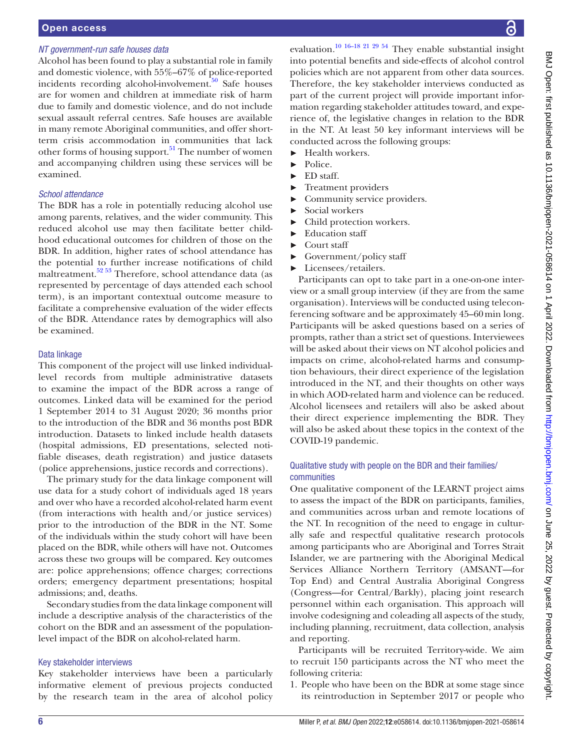#### Open access

#### *NT government-run safe houses data*

Alcohol has been found to play a substantial role in family and domestic violence, with 55%–67% of police-reported incidents recording alcohol-involvement. $50$  Safe houses are for women and children at immediate risk of harm due to family and domestic violence, and do not include sexual assault referral centres. Safe houses are available in many remote Aboriginal communities, and offer shortterm crisis accommodation in communities that lack other forms of housing support.<sup>51</sup> The number of women and accompanying children using these services will be examined.

#### *School attendance*

The BDR has a role in potentially reducing alcohol use among parents, relatives, and the wider community. This reduced alcohol use may then facilitate better childhood educational outcomes for children of those on the BDR. In addition, higher rates of school attendance has the potential to further increase notifications of child maltreatment.<sup>52</sup> <sup>53</sup> Therefore, school attendance data (as represented by percentage of days attended each school term), is an important contextual outcome measure to facilitate a comprehensive evaluation of the wider effects of the BDR. Attendance rates by demographics will also be examined.

#### Data linkage

This component of the project will use linked individuallevel records from multiple administrative datasets to examine the impact of the BDR across a range of outcomes. Linked data will be examined for the period 1 September 2014 to 31 August 2020; 36 months prior to the introduction of the BDR and 36 months post BDR introduction. Datasets to linked include health datasets (hospital admissions, ED presentations, selected notifiable diseases, death registration) and justice datasets (police apprehensions, justice records and corrections).

The primary study for the data linkage component will use data for a study cohort of individuals aged 18 years and over who have a recorded alcohol-related harm event (from interactions with health and/or justice services) prior to the introduction of the BDR in the NT. Some of the individuals within the study cohort will have been placed on the BDR, while others will have not. Outcomes across these two groups will be compared. Key outcomes are: police apprehensions; offence charges; corrections orders; emergency department presentations; hospital admissions; and, deaths.

Secondary studies from the data linkage component will include a descriptive analysis of the characteristics of the cohort on the BDR and an assessment of the populationlevel impact of the BDR on alcohol-related harm.

#### Key stakeholder interviews

Key stakeholder interviews have been a particularly informative element of previous projects conducted by the research team in the area of alcohol policy

evaluation[.10 16–18 21 29 54](#page-8-6) They enable substantial insight into potential benefits and side-effects of alcohol control policies which are not apparent from other data sources. Therefore, the key stakeholder interviews conducted as part of the current project will provide important information regarding stakeholder attitudes toward, and experience of, the legislative changes in relation to the BDR in the NT. At least 50 key informant interviews will be conducted across the following groups:

- ► Health workers.
- ► Police.
- ► ED staff.
- ► Treatment providers
- ► Community service providers.
- ► Social workers
- Child protection workers.
- Education staff
- Court staff
- ► Government/policy staff
- ► Licensees/retailers.

Participants can opt to take part in a one-on-one interview or a small group interview (if they are from the same organisation). Interviews will be conducted using teleconferencing software and be approximately 45–60min long. Participants will be asked questions based on a series of prompts, rather than a strict set of questions. Interviewees will be asked about their views on NT alcohol policies and impacts on crime, alcohol-related harms and consumption behaviours, their direct experience of the legislation introduced in the NT, and their thoughts on other ways in which AOD-related harm and violence can be reduced. Alcohol licensees and retailers will also be asked about their direct experience implementing the BDR. They will also be asked about these topics in the context of the COVID-19 pandemic.

#### Qualitative study with people on the BDR and their families/ communities

One qualitative component of the LEARNT project aims to assess the impact of the BDR on participants, families, and communities across urban and remote locations of the NT. In recognition of the need to engage in culturally safe and respectful qualitative research protocols among participants who are Aboriginal and Torres Strait Islander, we are partnering with the Aboriginal Medical Services Alliance Northern Territory (AMSANT—for Top End) and Central Australia Aboriginal Congress (Congress—for Central/Barkly), placing joint research personnel within each organisation. This approach will involve codesigning and coleading all aspects of the study, including planning, recruitment, data collection, analysis and reporting.

Participants will be recruited Territory-wide. We aim to recruit 150 participants across the NT who meet the following criteria:

1. People who have been on the BDR at some stage since its reintroduction in September 2017 or people who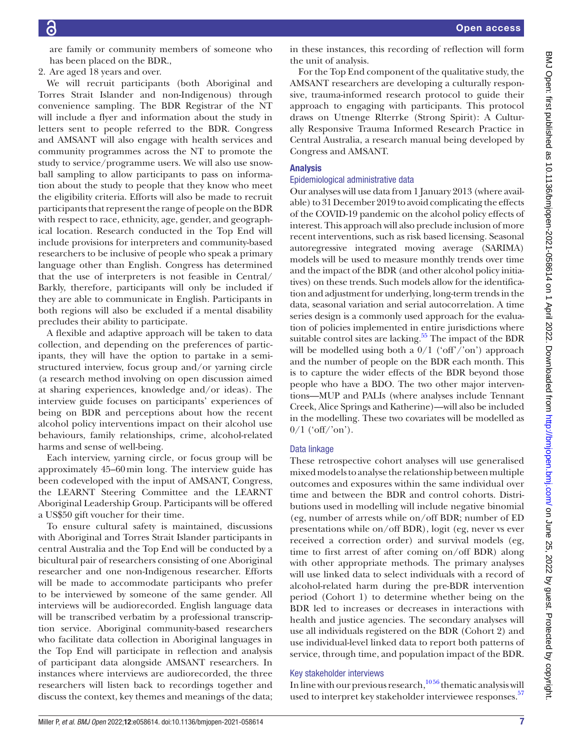are family or community members of someone who has been placed on the BDR.,

2. Are aged 18 years and over.

We will recruit participants (both Aboriginal and Torres Strait Islander and non-Indigenous) through convenience sampling. The BDR Registrar of the NT will include a flyer and information about the study in letters sent to people referred to the BDR. Congress and AMSANT will also engage with health services and community programmes across the NT to promote the study to service/programme users. We will also use snowball sampling to allow participants to pass on information about the study to people that they know who meet the eligibility criteria. Efforts will also be made to recruit participants that represent the range of people on the BDR with respect to race, ethnicity, age, gender, and geographical location. Research conducted in the Top End will include provisions for interpreters and community-based researchers to be inclusive of people who speak a primary language other than English. Congress has determined that the use of interpreters is not feasible in Central/ Barkly, therefore, participants will only be included if they are able to communicate in English. Participants in both regions will also be excluded if a mental disability precludes their ability to participate.

A flexible and adaptive approach will be taken to data collection, and depending on the preferences of participants, they will have the option to partake in a semistructured interview, focus group and/or yarning circle (a research method involving on open discussion aimed at sharing experiences, knowledge and/or ideas). The interview guide focuses on participants' experiences of being on BDR and perceptions about how the recent alcohol policy interventions impact on their alcohol use behaviours, family relationships, crime, alcohol-related harms and sense of well-being.

Each interview, yarning circle, or focus group will be approximately 45–60min long. The interview guide has been codeveloped with the input of AMSANT, Congress, the LEARNT Steering Committee and the LEARNT Aboriginal Leadership Group. Participants will be offered a US\$50 gift voucher for their time.

To ensure cultural safety is maintained, discussions with Aboriginal and Torres Strait Islander participants in central Australia and the Top End will be conducted by a bicultural pair of researchers consisting of one Aboriginal researcher and one non-Indigenous researcher. Efforts will be made to accommodate participants who prefer to be interviewed by someone of the same gender. All interviews will be audiorecorded. English language data will be transcribed verbatim by a professional transcription service. Aboriginal community-based researchers who facilitate data collection in Aboriginal languages in the Top End will participate in reflection and analysis of participant data alongside AMSANT researchers. In instances where interviews are audiorecorded, the three researchers will listen back to recordings together and discuss the context, key themes and meanings of the data;

in these instances, this recording of reflection will form the unit of analysis.

For the Top End component of the qualitative study, the AMSANT researchers are developing a culturally responsive, trauma-informed research protocol to guide their approach to engaging with participants. This protocol draws on Utnenge Rlterrke (Strong Spirit): A Culturally Responsive Trauma Informed Research Practice in Central Australia, a research manual being developed by Congress and AMSANT.

#### Analysis

#### Epidemiological administrative data

Our analyses will use data from 1 January 2013 (where available) to 31 December 2019 to avoid complicating the effects of the COVID-19 pandemic on the alcohol policy effects of interest. This approach will also preclude inclusion of more recent interventions, such as risk based licensing. Seasonal autoregressive integrated moving average (SARIMA) models will be used to measure monthly trends over time and the impact of the BDR (and other alcohol policy initiatives) on these trends. Such models allow for the identification and adjustment for underlying, long-term trends in the data, seasonal variation and serial autocorrelation. A time series design is a commonly used approach for the evaluation of policies implemented in entire jurisdictions where suitable control sites are lacking. $55$  The impact of the BDR will be modelled using both a  $0/1$  ('off'/'on') approach and the number of people on the BDR each month. This is to capture the wider effects of the BDR beyond those people who have a BDO. The two other major interventions—MUP and PALIs (where analyses include Tennant Creek, Alice Springs and Katherine)—will also be included in the modelling. These two covariates will be modelled as  $0/1$  ('off/'on').

#### Data linkage

These retrospective cohort analyses will use generalised mixed models to analyse the relationship between multiple outcomes and exposures within the same individual over time and between the BDR and control cohorts. Distributions used in modelling will include negative binomial (eg, number of arrests while on/off BDR; number of ED presentations while on/off BDR), logit (eg, never vs ever received a correction order) and survival models (eg, time to first arrest of after coming on/off BDR) along with other appropriate methods. The primary analyses will use linked data to select individuals with a record of alcohol-related harm during the pre-BDR intervention period (Cohort 1) to determine whether being on the BDR led to increases or decreases in interactions with health and justice agencies. The secondary analyses will use all individuals registered on the BDR (Cohort 2) and use individual-level linked data to report both patterns of service, through time, and population impact of the BDR.

#### Key stakeholder interviews

In line with our previous research, $10\frac{1056}{9}$  thematic analysis will used to interpret key stakeholder interviewee responses.<sup>[57](#page-9-21)</sup>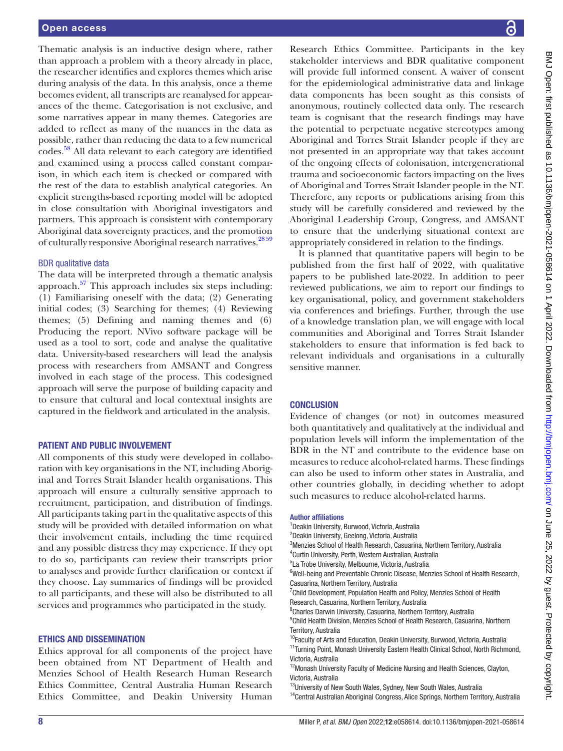Thematic analysis is an inductive design where, rather than approach a problem with a theory already in place, the researcher identifies and explores themes which arise during analysis of the data. In this analysis, once a theme becomes evident, all transcripts are reanalysed for appearances of the theme. Categorisation is not exclusive, and some narratives appear in many themes. Categories are added to reflect as many of the nuances in the data as possible, rather than reducing the data to a few numerical codes.[58](#page-9-22) All data relevant to each category are identified and examined using a process called constant comparison, in which each item is checked or compared with the rest of the data to establish analytical categories. An explicit strengths-based reporting model will be adopted in close consultation with Aboriginal investigators and partners. This approach is consistent with contemporary Aboriginal data sovereignty practices, and the promotion of culturally responsive Aboriginal research narratives.<sup>2859</sup>

#### BDR qualitative data

The data will be interpreted through a thematic analysis approach.<sup>57</sup> This approach includes six steps including: (1) Familiarising oneself with the data; (2) Generating initial codes; (3) Searching for themes; (4) Reviewing themes; (5) Defining and naming themes and (6) Producing the report. NVivo software package will be used as a tool to sort, code and analyse the qualitative data. University-based researchers will lead the analysis process with researchers from AMSANT and Congress involved in each stage of the process. This codesigned approach will serve the purpose of building capacity and to ensure that cultural and local contextual insights are captured in the fieldwork and articulated in the analysis.

#### PATIENT AND PUBLIC INVOLVEMENT

All components of this study were developed in collaboration with key organisations in the NT, including Aboriginal and Torres Strait Islander health organisations. This approach will ensure a culturally sensitive approach to recruitment, participation, and distribution of findings. All participants taking part in the qualitative aspects of this study will be provided with detailed information on what their involvement entails, including the time required and any possible distress they may experience. If they opt to do so, participants can review their transcripts prior to analyses and provide further clarification or context if they choose. Lay summaries of findings will be provided to all participants, and these will also be distributed to all services and programmes who participated in the study.

#### ETHICS AND DISSEMINATION

Ethics approval for all components of the project have been obtained from NT Department of Health and Menzies School of Health Research Human Research Ethics Committee, Central Australia Human Research Ethics Committee, and Deakin University Human

Research Ethics Committee. Participants in the key stakeholder interviews and BDR qualitative component will provide full informed consent. A waiver of consent for the epidemiological administrative data and linkage data components has been sought as this consists of anonymous, routinely collected data only. The research team is cognisant that the research findings may have the potential to perpetuate negative stereotypes among Aboriginal and Torres Strait Islander people if they are not presented in an appropriate way that takes account of the ongoing effects of colonisation, intergenerational trauma and socioeconomic factors impacting on the lives of Aboriginal and Torres Strait Islander people in the NT. Therefore, any reports or publications arising from this study will be carefully considered and reviewed by the Aboriginal Leadership Group, Congress, and AMSANT to ensure that the underlying situational context are appropriately considered in relation to the findings.

It is planned that quantitative papers will begin to be published from the first half of 2022, with qualitative papers to be published late-2022. In addition to peer reviewed publications, we aim to report our findings to key organisational, policy, and government stakeholders via conferences and briefings. Further, through the use of a knowledge translation plan, we will engage with local communities and Aboriginal and Torres Strait Islander stakeholders to ensure that information is fed back to relevant individuals and organisations in a culturally sensitive manner.

#### **CONCLUSION**

Evidence of changes (or not) in outcomes measured both quantitatively and qualitatively at the individual and population levels will inform the implementation of the BDR in the NT and contribute to the evidence base on measures to reduce alcohol-related harms. These findings can also be used to inform other states in Australia, and other countries globally, in deciding whether to adopt such measures to reduce alcohol-related harms.

#### Author affiliations

- <sup>1</sup> Deakin University, Burwood, Victoria, Australia 2 Deakin University, Geelong, Victoria, Australia <sup>3</sup>Menzies School of Health Research, Casuarina, Northern Territory, Australia 4 Curtin University, Perth, Western Australian, Australia 5 La Trobe University, Melbourne, Victoria, Australia
- <sup>6</sup>Well-being and Preventable Chronic Disease, Menzies School of Health Research, Casuarina, Northern Territory, Australia
- <sup>7</sup> Child Development, Population Health and Policy, Menzies School of Health
- Research, Casuarina, Northern Territory, Australia 8 Charles Darwin University, Casuarina, Northern Territory, Australia
- <sup>9</sup>Child Health Division, Menzies School of Health Research, Casuarina, Northern Territory, Australia
- <sup>10</sup>Faculty of Arts and Education, Deakin University, Burwood, Victoria, Australia <sup>11</sup>Turning Point, Monash University Eastern Health Clinical School, North Richmond, Victoria, Australia
- <sup>12</sup>Monash University Faculty of Medicine Nursing and Health Sciences, Clayton, Victoria, Australia
- <sup>13</sup>University of New South Wales, Sydney, New South Wales, Australia
- <sup>14</sup>Central Australian Aboriginal Congress, Alice Springs, Northern Territory, Australia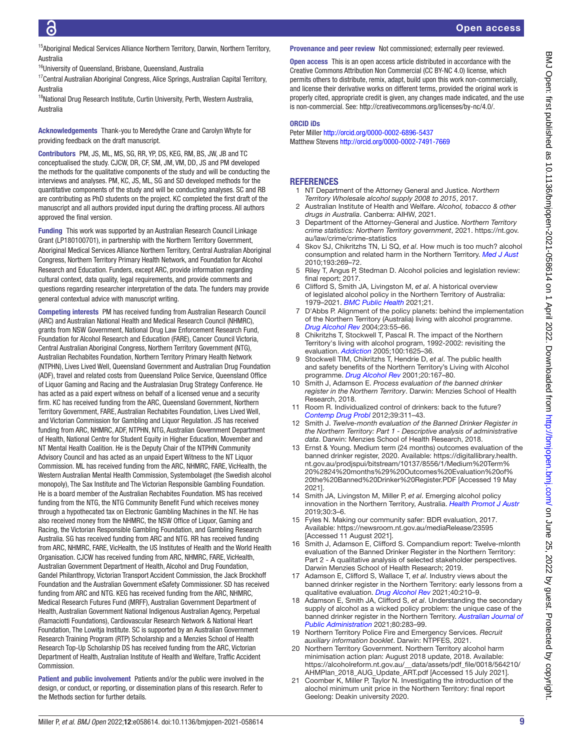<sup>15</sup>Aboriginal Medical Services Alliance Northern Territory, Darwin, Northern Territory, Australia

<sup>16</sup>University of Queensland, Brisbane, Queensland, Australia

<sup>17</sup> Central Australian Aboriginal Congress, Alice Springs, Australian Capital Territory, Australia

<sup>18</sup>National Drug Research Institute, Curtin University, Perth, Western Australia, Australia

Acknowledgements Thank-you to Meredythe Crane and Carolyn Whyte for providing feedback on the draft manuscript.

Contributors PM, JS, ML, MS, SG, RR, YP, DS, KEG, RM, BS, JW, JB and TC conceptualised the study. CJCW, DR, CF, SM, JM, VM, DD, JS and PM developed the methods for the qualitative components of the study and will be conducting the interviews and analyses. PM, KC, JS, ML, SG and SD developed methods for the quantitative components of the study and will be conducting analyses. SC and RB are contributing as PhD students on the project. KC completed the first draft of the manuscript and all authors provided input during the drafting process. All authors approved the final version.

Funding This work was supported by an Australian Research Council Linkage Grant (LP180100701), in partnership with the Northern Territory Government, Aboriginal Medical Services Alliance Northern Territory, Central Australian Aboriginal Congress, Northern Territory Primary Health Network, and Foundation for Alcohol Research and Education. Funders, except ARC, provide information regarding cultural context, data quality, legal requirements, and provide comments and questions regarding researcher interpretation of the data. The funders may provide general contextual advice with manuscript writing.

Competing interests PM has received funding from Australian Research Council (ARC) and Australian National Health and Medical Research Council (NHMRC), grants from NSW Government, National Drug Law Enforcement Research Fund, Foundation for Alcohol Research and Education (FARE), Cancer Council Victoria, Central Australian Aboriginal Congress, Northern Territory Government (NTG), Australian Rechabites Foundation, Northern Territory Primary Health Network (NTPHN), Lives Lived Well, Queensland Government and Australian Drug Foundation (ADF), travel and related costs from Queensland Police Service, Queensland Office of Liquor Gaming and Racing and the Australasian Drug Strategy Conference. He has acted as a paid expert witness on behalf of a licensed venue and a security firm. KC has received funding from the ARC, Queensland Government, Northern Territory Government, FARE, Australian Rechabites Foundation, Lives Lived Well, and Victorian Commission for Gambling and Liquor Regulation. JS has received funding from ARC, NHMRC, ADF, NTPHN, NTG, Australian Government Department of Health, National Centre for Student Equity in Higher Education, Movember and NT Mental Health Coalition. He is the Deputy Chair of the NTPHN Community Advisory Council and has acted as an unpaid Expert Witness to the NT Liquor Commission. ML has received funding from the ARC, NHMRC, FARE, VicHealth, the Western Australian Mental Health Commission, Systembolaget (the Swedish alcohol monopoly), The Sax Institute and The Victorian Responsible Gambling Foundation. He is a board member of the Australian Rechabites Foundation. MS has received funding from the NTG, the NTG Community Benefit Fund which receives money through a hypothecated tax on Electronic Gambling Machines in the NT. He has also received money from the NHMRC, the NSW Office of Liquor, Gaming and Racing, the Victorian Responsible Gambling Foundation, and Gambling Research Australia. SG has received funding from ARC and NTG. RR has received funding from ARC, NHMRC, FARE, VicHealth, the US Institutes of Health and the World Health Organisation. CJCW has received funding from ARC, NHMRC, FARE, VicHealth, Australian Government Department of Health, Alcohol and Drug Foundation, Gandel Philanthropy, Victorian Transport Accident Commission, the Jack Brockhoff Foundation and the Australian Government eSafety Commissioner. SD has received funding from ARC and NTG. KEG has received funding from the ARC, NHMRC, Medical Research Futures Fund (MRFF), Australian Government Department of Health, Australian Government National Indigenous Australian Agency, Perpetual (Ramaciotti Foundations), Cardiovascular Research Network & National Heart Foundation, The Lowitja Institute. SC is supported by an Australian Government Research Training Program (RTP) Scholarship and a Menzies School of Health Research Top-Up Scholarship DS has received funding from the ARC, Victorian Department of Health, Australian Institute of Health and Welfare, Traffic Accident Commission.

Patient and public involvement Patients and/or the public were involved in the design, or conduct, or reporting, or dissemination plans of this research. Refer to the Methods section for further details.

#### Provenance and peer review Not commissioned; externally peer reviewed.

Open access This is an open access article distributed in accordance with the Creative Commons Attribution Non Commercial (CC BY-NC 4.0) license, which permits others to distribute, remix, adapt, build upon this work non-commercially, and license their derivative works on different terms, provided the original work is properly cited, appropriate credit is given, any changes made indicated, and the use is non-commercial. See: [http://creativecommons.org/licenses/by-nc/4.0/.](http://creativecommons.org/licenses/by-nc/4.0/)

#### ORCID iDs

Peter Miller<http://orcid.org/0000-0002-6896-5437> Matthew Stevens <http://orcid.org/0000-0002-7491-7669>

#### REFERENCES

- <span id="page-8-0"></span>1 NT Department of the Attorney General and Justice. *Northern Territory Wholesale alcohol supply 2008 to 2015*, 2017.
- <span id="page-8-1"></span>2 Australian Institute of Health and Welfare. *Alcohol, tobacco & other drugs in Australia*. Canberra: AIHW, 2021.
- <span id="page-8-2"></span>3 Department of the Attorney-General and Justice. *Northern Territory crime statistics: Northern Territory government*, 2021. [https://nt.gov.](https://nt.gov.au/law/crime/crime-statistics) [au/law/crime/crime-statistics](https://nt.gov.au/law/crime/crime-statistics)
- <span id="page-8-3"></span>4 Skov SJ, Chikritzhs TN, Li SQ, *et al*. How much is too much? alcohol consumption and related harm in the Northern Territory. *[Med J Aust](http://dx.doi.org/10.5694/j.1326-5377.2010.tb03905.x)* 2010;193:269–72.
- <span id="page-8-4"></span>5 Riley T, Angus P, Stedman D. Alcohol policies and legislation review: final report; 2017.
- 6 Clifford S, Smith JA, Livingston M, *et al*. A historical overview of legislated alcohol policy in the Northern Territory of Australia: 1979–2021. *[BMC Public Health](http://dx.doi.org/10.1186/s12889-021-11957-5)* 2021;21.
- <span id="page-8-5"></span>7 D'Abbs P. Alignment of the policy planets: behind the implementation of the Northern Territory (Australia) living with alcohol programme. *[Drug Alcohol Rev](http://dx.doi.org/10.1080/09595230410001645556)* 2004;23:55–66.
- Chikritzhs T, Stockwell T, Pascal R. The impact of the Northern Territory's living with alcohol program, 1992-2002: revisiting the evaluation. *[Addiction](http://dx.doi.org/10.1111/j.1360-0443.2005.01234.x)* 2005;100:1625–36.
- 9 Stockwell TIM, Chikritzhs T, Hendrie D, *et al*. The public health and safety benefits of the Northern Territory's Living with Alcohol programme. *[Drug Alcohol Rev](http://dx.doi.org/10.1080/09595230124886)* 2001;20:167–80.
- <span id="page-8-6"></span>10 Smith J, Adamson E. *Process evaluation of the banned drinker register in the Northern Territory*. Darwin: Menzies School of Health Research, 2018.
- <span id="page-8-7"></span>11 Room R. Individualized control of drinkers: back to the future? *[Contemp Drug Probl](http://dx.doi.org/10.1177/009145091203900207)* 2012;39:311–43.
- <span id="page-8-8"></span>12 Smith J. *Twelve-month evaluation of the Banned Drinker Register in the Northern Territory: Part 1 - Descriptive analysis of administrative data*. Darwin: Menzies School of Health Research, 2018.
- <span id="page-8-11"></span>13 Ernst & Young. Medium term (24 months) outcomes evaluation of the banned drinker register, 2020. Available: [https://digitallibrary.health.](https://digitallibrary.health.nt.gov.au/prodjspui/bitstream/10137/8556/1/Medium%20Term%20%2824%20months%29%20Outcomes%20Evaluation%20of%20the%20Banned%20Drinker%20Register.PDF) [nt.gov.au/prodjspui/bitstream/10137/8556/1/Medium%20Term%](https://digitallibrary.health.nt.gov.au/prodjspui/bitstream/10137/8556/1/Medium%20Term%20%2824%20months%29%20Outcomes%20Evaluation%20of%20the%20Banned%20Drinker%20Register.PDF) [20%2824%20months%29%20Outcomes%20Evaluation%20of%](https://digitallibrary.health.nt.gov.au/prodjspui/bitstream/10137/8556/1/Medium%20Term%20%2824%20months%29%20Outcomes%20Evaluation%20of%20the%20Banned%20Drinker%20Register.PDF) [20the%20Banned%20Drinker%20Register.PDF](https://digitallibrary.health.nt.gov.au/prodjspui/bitstream/10137/8556/1/Medium%20Term%20%2824%20months%29%20Outcomes%20Evaluation%20of%20the%20Banned%20Drinker%20Register.PDF) [Accessed 19 May 2021].
- <span id="page-8-9"></span>14 Smith JA, Livingston M, Miller P, *et al*. Emerging alcohol policy innovation in the Northern Territory, Australia. *[Health Promot J Austr](http://dx.doi.org/10.1002/hpja.222)* 2019;30:3–6.
- 15 Fyles N. Making our community safer: BDR evaluation, 2017. Available: <https://newsroom.nt.gov.au/mediaRelease/23595> [Accessed 11 August 2021].
- <span id="page-8-10"></span>16 Smith J, Adamson E, Clifford S. Compandium report: Twelve-mlonth evaluation of the Banned Drinker Register in the Northern Territory: Part 2 - A qualitative analysis of selected stakeholder perspectives. Darwin Menzies School of Health Research; 2019.
- <span id="page-8-12"></span>17 Adamson E, Clifford S, Wallace T, *et al*. Industry views about the banned drinker register in the Northern Territory: early lessons from a qualitative evaluation. *[Drug Alcohol Rev](http://dx.doi.org/10.1111/dar.13174)* 2021;40:210–9.
- 18 Adamson E, Smith JA, Clifford S, *et al*. Understanding the secondary supply of alcohol as a wicked policy problem: the unique case of the banned drinker register in the Northern Territory. *[Australian Journal of](http://dx.doi.org/10.1111/1467-8500.12471)  [Public Administration](http://dx.doi.org/10.1111/1467-8500.12471)* 2021;80:283–99.
- <span id="page-8-13"></span>19 Northern Territory Police Fire and Emergency Services. *Recruit auxiliary information booklet*. Darwin: NTPFES, 2021.
- <span id="page-8-14"></span>20 Northern Territory Government. Northern Territory alcohol harm minimisation action plan: August 2018 update, 2018. Available: [https://alcoholreform.nt.gov.au/\\_\\_data/assets/pdf\\_file/0018/564210/](https://alcoholreform.nt.gov.au/__data/assets/pdf_file/0018/564210/AHMPlan_2018_AUG_Update_ART.pdf) [AHMPlan\\_2018\\_AUG\\_Update\\_ART.pdf](https://alcoholreform.nt.gov.au/__data/assets/pdf_file/0018/564210/AHMPlan_2018_AUG_Update_ART.pdf) [Accessed 15 July 2021].
- <span id="page-8-15"></span>21 Coomber K, Miller P, Taylor N. Investigating the introduction of the alochol minimum unit price in the Northern Territory: final report Geelong: Deakin university 2020.